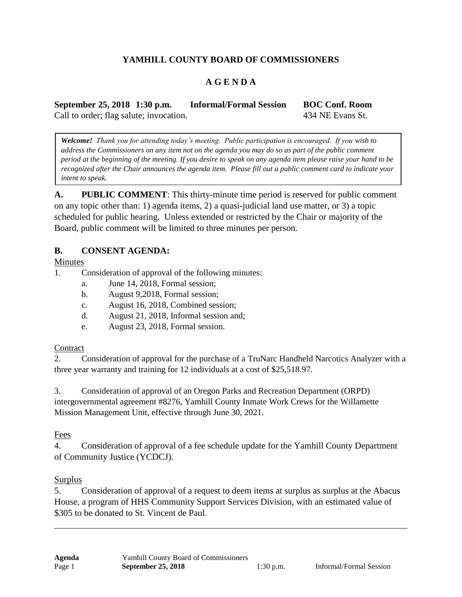# **YAMHILL COUNTY BOARD OF COMMISSIONERS**

## **A G E N D A**

**September 25, 2018 1:30 p.m. Informal/Formal Session BOC Conf. Room** Call to order; flag salute; invocation. 434 NE Evans St.

*Welcome! Thank you for attending today's meeting. Public participation is encouraged. If you wish to address the Commissioners on any item not on the agenda you may do so as part of the public comment period at the beginning of the meeting. If you desire to speak on any agenda item please raise your hand to be recognized after the Chair announces the agenda item. Please fill out a public comment card to indicate your intent to speak.*

**A. PUBLIC COMMENT**: This thirty-minute time period is reserved for public comment on any topic other than: 1) agenda items, 2) a quasi-judicial land use matter, or 3) a topic scheduled for public hearing. Unless extended or restricted by the Chair or majority of the Board, public comment will be limited to three minutes per person.

#### **B. CONSENT AGENDA:**

Minutes

- 1. Consideration of approval of the following minutes:
	- a. June 14, 2018, Formal session;
	- b. August 9,2018, Formal session;
	- c. August 16, 2018, Combined session;
	- d. August 21, 2018, Informal session and;
	- e. August 23, 2018, Formal session.

#### **Contract**

2. Consideration of approval for the purchase of a TruNarc Handheld Narcotics Analyzer with a three year warranty and training for 12 individuals at a cost of \$25,518.97.

3. Consideration of approval of an Oregon Parks and Recreation Department (ORPD) intergovernmental agreement #8276, Yamhill County Inmate Work Crews for the Willamette Mission Management Unit, effective through June 30, 2021.

Fees

4. Consideration of approval of a fee schedule update for the Yamhill County Department of Community Justice (YCDCJ).

## Surplus

5. Consideration of approval of a request to deem items at surplus as surplus at the Abacus House, a program of HHS Community Support Services Division, with an estimated value of \$305 to be donated to St. Vincent de Paul.